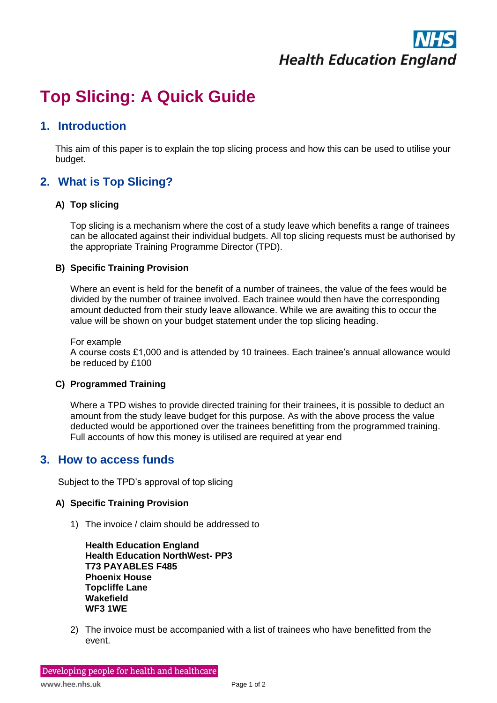

# **Top Slicing: A Quick Guide**

## **1. Introduction**

This aim of this paper is to explain the top slicing process and how this can be used to utilise your budget.

# **2. What is Top Slicing?**

## **A) Top slicing**

Top slicing is a mechanism where the cost of a study leave which benefits a range of trainees can be allocated against their individual budgets. All top slicing requests must be authorised by the appropriate Training Programme Director (TPD).

#### **B) Specific Training Provision**

Where an event is held for the benefit of a number of trainees, the value of the fees would be divided by the number of trainee involved. Each trainee would then have the corresponding amount deducted from their study leave allowance. While we are awaiting this to occur the value will be shown on your budget statement under the top slicing heading.

For example

A course costs £1,000 and is attended by 10 trainees. Each trainee's annual allowance would be reduced by £100

## **C) Programmed Training**

Where a TPD wishes to provide directed training for their trainees, it is possible to deduct an amount from the study leave budget for this purpose. As with the above process the value deducted would be apportioned over the trainees benefitting from the programmed training. Full accounts of how this money is utilised are required at year end

## **3. How to access funds**

Subject to the TPD's approval of top slicing

#### **A) Specific Training Provision**

1) The invoice / claim should be addressed to

**Health Education England Health Education NorthWest- PP3 T73 PAYABLES F485 Phoenix House Topcliffe Lane Wakefield WF3 1WE**

2) The invoice must be accompanied with a list of trainees who have benefitted from the event.